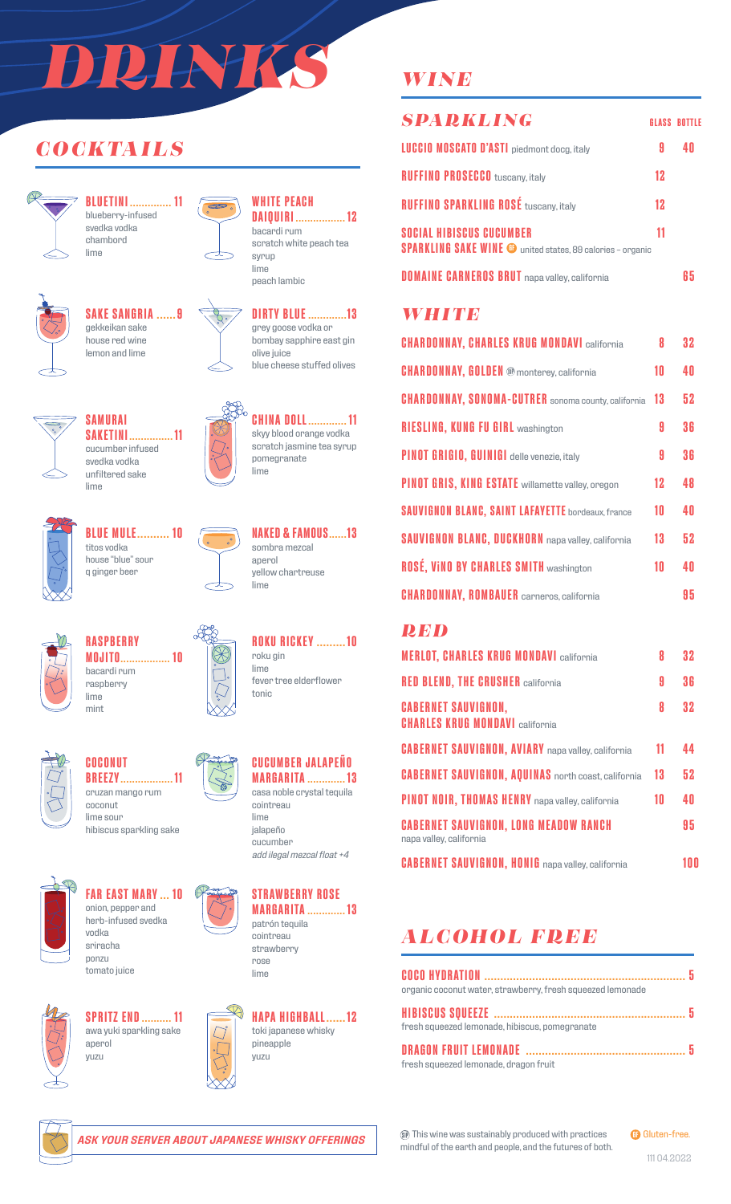# *DRINKS*

# *COCKTAILS*



**BLUETINI .............. 11** blueberry-infused svedka vodka chambord lime



# **SAKE SANGRIA ......9**

gekkeikan sake house red wine lemon and lime

**SAKETINI............... 11** cucumber infused svedka vodka unfiltered sake

**SAMURAI**

lime





 $\infty$ 

**DIRTY BLUE .............13** grey goose vodka or bombay sapphire east gin olive juice blue cheese stuffed olives

**WHITE PEACH**

bacardi rum

syrup

**DAIQUIRI ................. 12**

scratch white peach tea



**CHINA DOLL............. 11** skyy blood orange vodka scratch jasmine tea syrup pomegranate lime



**BLUE MULE.......... 10** titos vodka house "blue" sour q ginger beer



**NAKED & FAMOUS......13** sombra mezcal aperol yellow chartreuse lime

**ROKU RICKEY .........10**

fever tree elderflower

roku gin lime

tonic



**RASPBERRY MOJITO................. 10** bacardi rum raspberry lime mint



**COCONUT BREEZY.................. 11** cruzan mango rum coconut





**FAR EAST MARY ... 10** onion, pepper and herb-infused svedka vodka sriracha ponzu tomato juice



**SPRITZ END.......... 11** awa yuki sparkling sake aperol yuzu







**STRAWBERRY ROSE MARGARITA ............. 13** strawberry rose lime



## *WINE*

| <b>SPARKLING</b>                                                                                     |    | <b>GLASS BOTTLE</b> |
|------------------------------------------------------------------------------------------------------|----|---------------------|
| <b>LUCCIO MOSCATO D'ASTI</b> piedmont docg, italy                                                    | 9  |                     |
| <b>RUFFINO PROSECCO</b> tuscany, italy                                                               | 12 |                     |
| <b>RUFFINO SPARKLING ROSÉ tuscany, italy</b>                                                         | 12 |                     |
| <b>SOCIAL HIBISCUS CUCUMBER</b><br><b>SPARKLING SAKE WINE @</b> united states, 89 calories - organic | 11 |                     |
| <b>DOMAINE CARNEROS BRUT</b> napa valley, california                                                 |    | li h                |

#### *WHITE*

| <b>CHARDONNAY, CHARLES KRUG MONDAVI california</b>         | 8  | 32 |
|------------------------------------------------------------|----|----|
| <b>CHARDONNAY, GOLDEN ®</b> monterey, california           | 10 | 40 |
| <b>CHARDONNAY, SONOMA-CUTRER</b> sonoma county, california | 13 | 52 |
| <b>RIESLING, KUNG FU GIRL washington</b>                   | A  | 36 |
| <b>PINOT GRIGIO, GUINIGI</b> delle venezie, italy          | 9  | 36 |
| <b>PINOT GRIS, KING ESTATE</b> willamette valley, oregon   | 12 | 48 |
| <b>SAUVIGNON BLANC, SAINT LAFAYETTE bordeaux, france</b>   | 10 | 40 |
| <b>SAUVIGNON BLANC, DUCKHORN</b> napa valley, california   | 13 | 52 |
| <b>ROSÉ, VINO BY CHARLES SMITH washington</b>              | 10 | 40 |
| <b>CHARDONNAY, ROMBAUER</b> carneros, california           |    | 95 |

#### *RED*

| <b>MERLOT, CHARLES KRUG MONDAVI california</b>                          | 8  | 32 |
|-------------------------------------------------------------------------|----|----|
| <b>RED BLEND, THE CRUSHER california</b>                                | 9  | 36 |
| <b>CABERNET SAUVIGNON,</b><br><b>CHARLES KRUG MONDAVI california</b>    | 8  | 32 |
| <b>CABERNET SAUVIGNON, AVIARY</b> napa valley, california               | 11 | 44 |
| <b>CABERNET SAUVIGNON, AQUINAS</b> north coast, california              | 13 | 52 |
| PINOT NOIR, THOMAS HENRY napa valley, california                        | 10 | 40 |
| <b>CABERNET SAUVIGNON, LONG MEADOW RANCH</b><br>napa valley, california |    | 95 |
| <b>CABERNET SAUVIGNON, HONIG</b> napa valley, california                |    | nn |

# *ALCOHOL FREE*

| organic coconut water, strawberry, fresh squeezed lemonade |  |
|------------------------------------------------------------|--|
|                                                            |  |
| fresh squeezed lemonade, hibiscus, pomegranate             |  |
|                                                            |  |
| fresh squeezed lemonade, dragon fruit                      |  |



*ASK YOUR SERVER ABOUT JAPANESE WHISKY OFFERINGS*

This wine was sustainably produced with practices mindful of the earth and people, and the futures of both. **GB** Gluten-free.